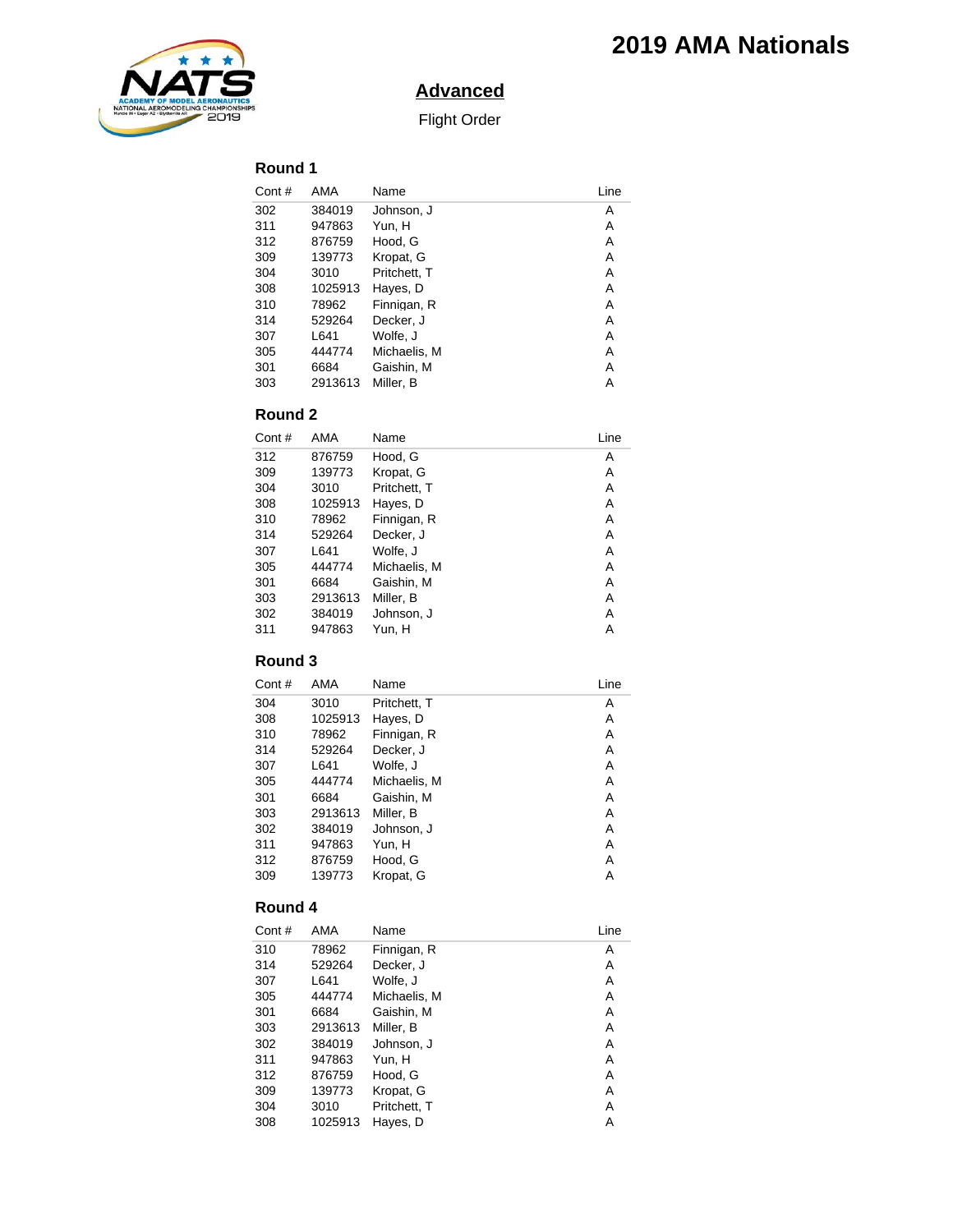

# **Advanced**

Flight Order

## **Round 1**

| Cont# | AMA     | Name         | Line |
|-------|---------|--------------|------|
| 302   | 384019  | Johnson. J   | Α    |
| 311   | 947863  | Yun, H       | A    |
| 312   | 876759  | Hood, G      | A    |
| 309   | 139773  | Kropat, G    | A    |
| 304   | 3010    | Pritchett, T | A    |
| 308   | 1025913 | Haves. D     | A    |
| 310   | 78962   | Finnigan, R  | A    |
| 314   | 529264  | Decker, J    | A    |
| 307   | L641    | Wolfe, J     | Α    |
| 305   | 444774  | Michaelis, M | A    |
| 301   | 6684    | Gaishin, M   | Α    |
| 303   | 2913613 | Miller, B    | Α    |

### **Round 2**

| Cont# | AMA     | Name         | Line |
|-------|---------|--------------|------|
| 312   | 876759  | Hood. G      | A    |
| 309   | 139773  | Kropat. G    | A    |
| 304   | 3010    | Pritchett. T | A    |
| 308   | 1025913 | Haves. D     | A    |
| 310   | 78962   | Finnigan, R  | A    |
| 314   | 529264  | Decker, J    | Α    |
| 307   | L641    | Wolfe. J     | A    |
| 305   | 444774  | Michaelis, M | A    |
| 301   | 6684    | Gaishin, M   | A    |
| 303   | 2913613 | Miller, B    | A    |
| 302   | 384019  | Johnson. J   | Α    |
| 311   | 947863  | Yun. H       | Α    |

## **Round 3**

| Cont# | AMA     | Name         | Line |
|-------|---------|--------------|------|
| 304   | 3010    | Pritchett, T | Α    |
| 308   | 1025913 | Hayes, D     | Α    |
| 310   | 78962   | Finnigan, R  | Α    |
| 314   | 529264  | Decker, J    | Α    |
| 307   | L641    | Wolfe, J     | A    |
| 305   | 444774  | Michaelis, M | Α    |
| 301   | 6684    | Gaishin, M   | Α    |
| 303   | 2913613 | Miller. B    | A    |
| 302   | 384019  | Johnson, J   | Α    |
| 311   | 947863  | Yun, H       | A    |
| 312   | 876759  | Hood. G      | A    |
| 309   | 139773  | Kropat. G    | A    |
|       |         |              |      |

#### **Round 4**

| Cont# | AMA     | Name         | Line |
|-------|---------|--------------|------|
| 310   | 78962   | Finnigan, R  | Α    |
| 314   | 529264  | Decker, J    | Α    |
| 307   | L641    | Wolfe, J     | Α    |
| 305   | 444774  | Michaelis, M | A    |
| 301   | 6684    | Gaishin, M   | Α    |
| 303   | 2913613 | Miller. B    | Α    |
| 302   | 384019  | Johnson. J   | Α    |
| 311   | 947863  | Yun. H       | A    |
| 312   | 876759  | Hood, G      | Α    |
| 309   | 139773  | Kropat, G    | A    |
| 304   | 3010    | Pritchett. T | Α    |
| 308   | 1025913 | Hayes, D     | A    |